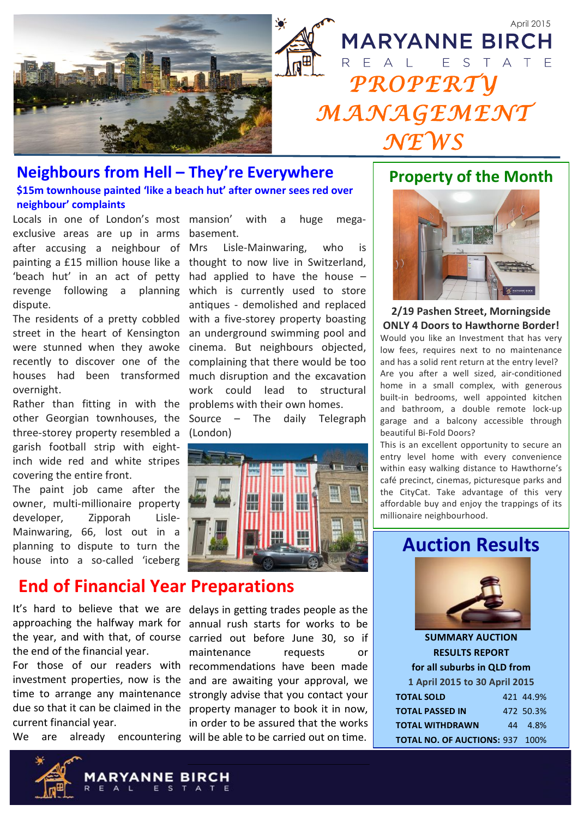

### Neighbours from Hell - They're Everywhere \$15m townhouse painted 'like a beach hut' after owner sees red over

neighbour' complaints

Locals in one of London's most mansion' exclusive areas are up in arms after accusing a neighbour of Mrs dispute.

street in the heart of Kensington were stunned when they awoke recently to discover one of the houses had been transformed overnight.

other Georgian townhouses, the three-storey property resembled a garish football strip with eightinch wide red and white stripes covering the entire front.

The paint job came after the owner, multi-millionaire property Lisledeveloper, Zipporah Mainwaring, 66, lost out in a planning to dispute to turn the house into a so-called 'iceberg

## **End of Financial Year Preparations**

the end of the financial year.

current financial year.

**We** are

with huge a megabasement.

Lisle-Mainwaring, who is painting a £15 million house like a thought to now live in Switzerland, 'beach hut' in an act of petty had applied to have the house revenge following a planning which is currently used to store antiques - demolished and replaced The residents of a pretty cobbled with a five-storey property boasting an underground swimming pool and cinema. But neighbours objected, complaining that there would be too much disruption and the excavation work could lead to structural Rather than fitting in with the problems with their own homes.

> Source - The daily Telegraph (London)



It's hard to believe that we are delays in getting trades people as the approaching the halfway mark for annual rush starts for works to be the year, and with that, of course carried out before June 30, so if maintenance requests or For those of our readers with recommendations have been made investment properties, now is the and are awaiting your approval, we time to arrange any maintenance strongly advise that you contact your due so that it can be claimed in the property manager to book it in now, in order to be assured that the works already encountering will be able to be carried out on time.

## **Property of the Month**



### 2/19 Pashen Street, Morningside **ONLY 4 Doors to Hawthorne Border!**

Would you like an Investment that has very low fees, requires next to no maintenance and has a solid rent return at the entry level? Are you after a well sized, air-conditioned home in a small complex, with generous built-in bedrooms, well appointed kitchen and bathroom, a double remote lock-up garage and a balcony accessible through beautiful Bi-Fold Doors?

This is an excellent opportunity to secure an entry level home with every convenience within easy walking distance to Hawthorne's café precinct, cinemas, picturesque parks and the CityCat. Take advantage of this very affordable buy and enjoy the trappings of its millionaire neighbourhood.

## **Auction Results**



**SUMMARY AUCTION RESULTS REPORT** for all suburbs in QLD from 1 April 2015 to 30 April 2015 **TOTAL SOLD** 421 44.9% **TOTAL PASSED IN** 472 50.3% **TOTAL WITHDRAWN** 44 4.8%

TOTAL NO. OF AUCTIONS: 937 100%